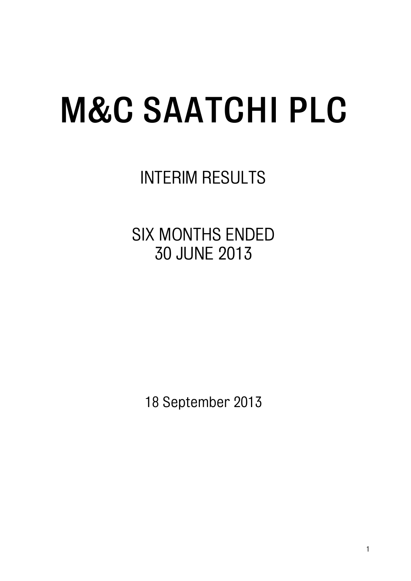INTERIM RESULTS

SIX MONTHS ENDED 30 JUNE 2013

18 September 2013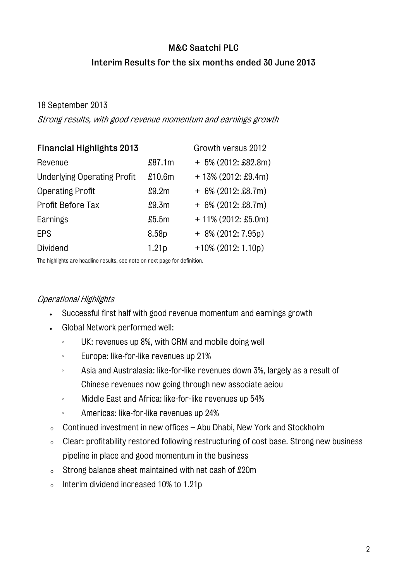# M&C Saatchi PLC Interim Results for the six months ended 30 June 2013

# 18 September 2013

Strong results, with good revenue momentum and earnings growth

| <b>Financial Highlights 2013</b>   |                   | Growth versus 2012    |
|------------------------------------|-------------------|-----------------------|
| Revenue                            | \$87.1m           | $+5\%$ (2012: £82.8m) |
| <b>Underlying Operating Profit</b> | £10.6m            | $+13\%$ (2012: £9.4m) |
| <b>Operating Profit</b>            | £9.2m             | $+6\%$ (2012: £8.7m)  |
| Profit Before Tax                  | £9.3m             | $+6\%$ (2012: £8.7m)  |
| Earnings                           | \$5.5m            | $+11\%$ (2012: £5.0m) |
| EPS                                | 8.58p             | $+8\%$ (2012: 7.95p)  |
| Dividend                           | 1.21 <sub>p</sub> | $+10\%$ (2012: 1.10p) |

The highlights are headline results, see note on next page for definition.

# Operational Highlights

- Successful first half with good revenue momentum and earnings growth
- Global Network performed well:
	- UK: revenues up 8%, with CRM and mobile doing well
	- **Europe: like-for-like revenues up 21%**
	- Asia and Australasia: like-for-like revenues down 3%, largely as a result of Chinese revenues now going through new associate aeiou
	- **Middle East and Africa: like-for-like revenues up 54%**
	- Americas: like-for-like revenues up 24%
- <sup>o</sup> Continued investment in new offices Abu Dhabi, New York and Stockholm
- <sup>o</sup> Clear: profitability restored following restructuring of cost base. Strong new business pipeline in place and good momentum in the business
- <sup>o</sup> Strong balance sheet maintained with net cash of £20m
- <sup>o</sup> Interim dividend increased 10% to 1.21p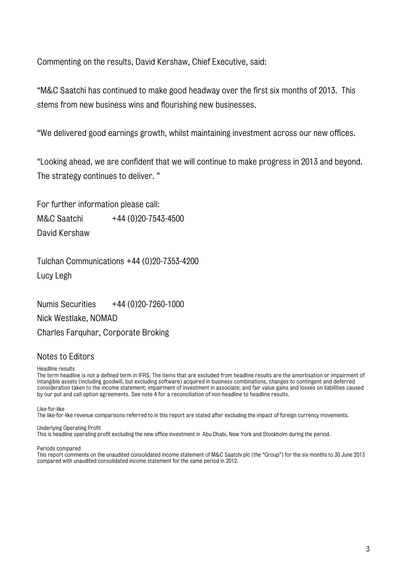Commenting on the results, David Kershaw, Chief Executive, said:

"M&C Saatchi has continued to make good headway over the first six months of 2013. This stems from new business wins and flourishing new businesses.

"We delivered good earnings growth, whilst maintaining investment across our new offices.

"Looking ahead, we are confident that we will continue to make progress in 2013 and beyond. The strategy continues to deliver. "

For further information please call: M&C Saatchi +44 (0) 20-7543-4500 David Kershaw

Tulchan Communications +44 (0)20-7353-4200 Lucy Legh

Numis Securities  $+44(0)20-7260-1000$ Nick Westlake, NOMAD Charles Farquhar, Corporate Broking

# Notes to Editors

#### Headline results

The term headline is not a defined term in IFRS. The items that are excluded from headline results are the amortisation or impairment of intangible assets (including goodwill, but excluding software) acquired in business combinations, changes to contingent and deferred consideration taken to the income statement; impairment of investment in associate; and fair value gains and losses on liabilities caused by our put and call option agreements. See note 4 for a reconciliation of non-headline to headline results.

Like-for-like

The like-for-like revenue comparisons referred to in this report are stated after excluding the impact of foreign currency movements.

#### Underlying Operating Profit

This is headline operating profit excluding the new office investment in Abu Dhabi, New York and Stockholm during the period.

Periods compared

This report comments on the unaudited consolidated income statement of M&C Saatchi plc (the "Group") for the six months to 30 June 2013 compared with unaudited consolidated income statement for the same period in 2012.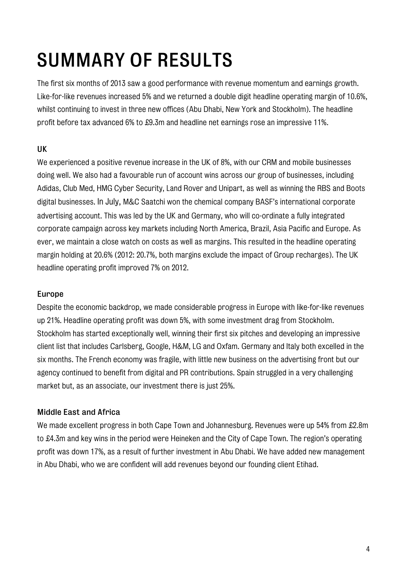# SUMMARY OF RESULTS

The first six months of 2013 saw a good performance with revenue momentum and earnings growth. Like-for-like revenues increased 5% and we returned a double digit headline operating margin of 10.6%, whilst continuing to invest in three new offices (Abu Dhabi, New York and Stockholm). The headline profit before tax advanced 6% to £9.3m and headline net earnings rose an impressive 11%.

# UK

We experienced a positive revenue increase in the UK of 8%, with our CRM and mobile businesses doing well. We also had a favourable run of account wins across our group of businesses, including Adidas, Club Med, HMG Cyber Security, Land Rover and Unipart, as well as winning the RBS and Boots digital businesses. In July, M&C Saatchi won the chemical company BASF's international corporate advertising account. This was led by the UK and Germany, who will co-ordinate a fully integrated corporate campaign across key markets including North America, Brazil, Asia Pacific and Europe. As ever, we maintain a close watch on costs as well as margins. This resulted in the headline operating margin holding at 20.6% (2012: 20.7%, both margins exclude the impact of Group recharges). The UK headline operating profit improved 7% on 2012.

# Europe

Despite the economic backdrop, we made considerable progress in Europe with like-for-like revenues up 21%. Headline operating profit was down 5%, with some investment drag from Stockholm. Stockholm has started exceptionally well, winning their first six pitches and developing an impressive client list that includes Carlsberg, Google, H&M, LG and Oxfam. Germany and Italy both excelled in the six months. The French economy was fragile, with little new business on the advertising front but our agency continued to benefit from digital and PR contributions. Spain struggled in a very challenging market but, as an associate, our investment there is just 25%.

# Middle East and Africa

We made excellent progress in both Cape Town and Johannesburg. Revenues were up 54% from £2.8m to £4.3m and key wins in the period were Heineken and the City of Cape Town. The region's operating profit was down 17%, as a result of further investment in Abu Dhabi. We have added new management in Abu Dhabi, who we are confident will add revenues beyond our founding client Etihad.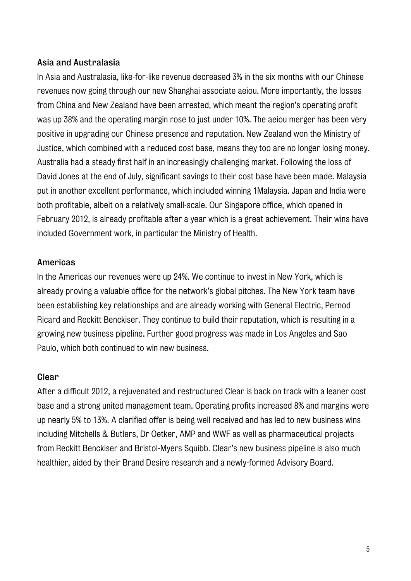# Asia and Australasia

In Asia and Australasia, like-for-like revenue decreased 3% in the six months with our Chinese revenues now going through our new Shanghai associate aeiou. More importantly, the losses from China and New Zealand have been arrested, which meant the region's operating profit was up 38% and the operating margin rose to just under 10%. The aeiou merger has been very positive in upgrading our Chinese presence and reputation. New Zealand won the Ministry of Justice, which combined with a reduced cost base, means they too are no longer losing money. Australia had a steady first half in an increasingly challenging market. Following the loss of David Jones at the end of July, significant savings to their cost base have been made. Malaysia put in another excellent performance, which included winning 1Malaysia. Japan and India were both profitable, albeit on a relatively small-scale. Our Singapore office, which opened in February 2012, is already profitable after a year which is a great achievement. Their wins have included Government work, in particular the Ministry of Health.

# Americas

In the Americas our revenues were up 24%. We continue to invest in New York, which is already proving a valuable office for the network's global pitches. The New York team have been establishing key relationships and are already working with General Electric, Pernod Ricard and Reckitt Benckiser. They continue to build their reputation, which is resulting in a growing new business pipeline. Further good progress was made in Los Angeles and Sao Paulo, which both continued to win new business.

# **Clear**

After a difficult 2012, a rejuvenated and restructured Clear is back on track with a leaner cost base and a strong united management team. Operating profits increased 8% and margins were up nearly 5% to 13%. A clarified offer is being well received and has led to new business wins including Mitchells & Butlers, Dr Oetker, AMP and WWF as well as pharmaceutical projects from Reckitt Benckiser and Bristol-Myers Squibb. Clear's new business pipeline is also much healthier, aided by their Brand Desire research and a newly-formed Advisory Board.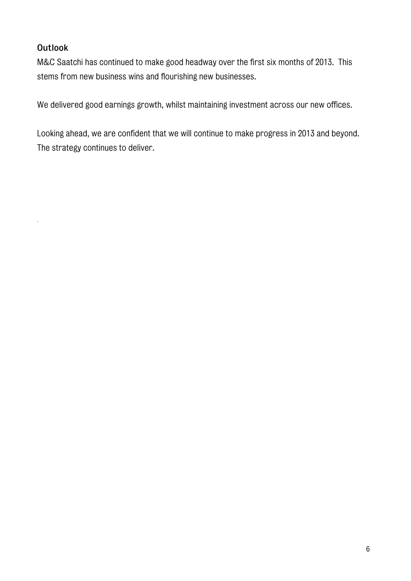# **Outlook**

*.* 

M&C Saatchi has continued to make good headway over the first six months of 2013. This stems from new business wins and flourishing new businesses.

We delivered good earnings growth, whilst maintaining investment across our new offices.

Looking ahead, we are confident that we will continue to make progress in 2013 and beyond. The strategy continues to deliver.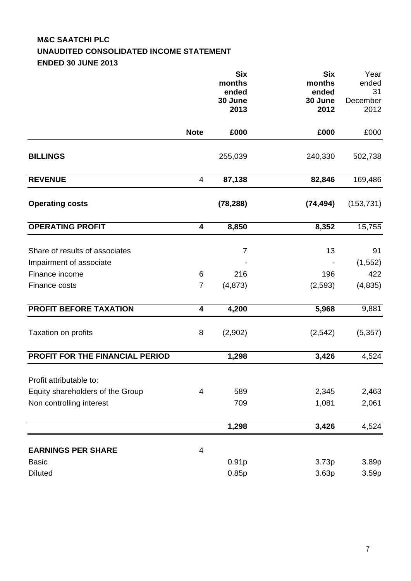# **M&C SAATCHI PLC UNAUDITED CONSOLIDATED INCOME STATEMENT ENDED 30 JUNE 2013**

|                                  |                | <b>Six</b><br>months<br>ended | <b>Six</b><br>months<br>ended | Year<br>ended<br>31 |
|----------------------------------|----------------|-------------------------------|-------------------------------|---------------------|
|                                  |                | 30 June                       | 30 June                       | December            |
|                                  |                | 2013                          | 2012                          | 2012                |
|                                  | <b>Note</b>    | £000                          | £000                          | £000                |
| <b>BILLINGS</b>                  |                | 255,039                       | 240,330                       | 502,738             |
| <b>REVENUE</b>                   | 4              | 87,138                        | 82,846                        | 169,486             |
| <b>Operating costs</b>           |                | (78, 288)                     | (74, 494)                     | (153, 731)          |
| <b>OPERATING PROFIT</b>          | 4              | 8,850                         | 8,352                         | 15,755              |
| Share of results of associates   |                | $\overline{7}$                | 13                            | 91                  |
| Impairment of associate          |                |                               |                               | (1, 552)            |
| Finance income                   | 6              | 216                           | 196                           | 422                 |
| Finance costs                    | $\overline{7}$ | (4, 873)                      | (2,593)                       | (4,835)             |
| <b>PROFIT BEFORE TAXATION</b>    | 4              | 4,200                         | 5,968                         | 9,881               |
| Taxation on profits              | 8              | (2,902)                       | (2, 542)                      | (5, 357)            |
| PROFIT FOR THE FINANCIAL PERIOD  |                | 1,298                         | 3,426                         | 4,524               |
| Profit attributable to:          |                |                               |                               |                     |
| Equity shareholders of the Group | $\overline{4}$ | 589                           | 2,345                         | 2,463               |
| Non controlling interest         |                | 709                           | 1,081                         | 2,061               |
|                                  |                | 1,298                         | 3,426                         | 4,524               |
| <b>EARNINGS PER SHARE</b>        | $\overline{4}$ |                               |                               |                     |
| <b>Basic</b>                     |                | 0.91p                         | 3.73p                         | 3.89p               |
| <b>Diluted</b>                   |                | 0.85p                         | 3.63p                         | 3.59 <sub>p</sub>   |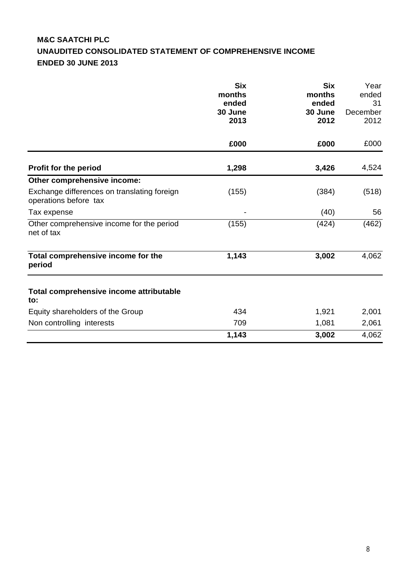# **M&C SAATCHI PLC UNAUDITED CONSOLIDATED STATEMENT OF COMPREHENSIVE INCOME ENDED 30 JUNE 2013**

|                                                                      | <b>Six</b><br>months<br>ended<br>30 June<br>2013 | <b>Six</b><br>months<br>ended<br>30 June<br>2012 | Year<br>ended<br>31<br>December<br>2012 |
|----------------------------------------------------------------------|--------------------------------------------------|--------------------------------------------------|-----------------------------------------|
|                                                                      | £000                                             | £000                                             | £000                                    |
| Profit for the period                                                | 1,298                                            | 3,426                                            | 4,524                                   |
| Other comprehensive income:                                          |                                                  |                                                  |                                         |
| Exchange differences on translating foreign<br>operations before tax | (155)                                            | (384)                                            | (518)                                   |
| Tax expense                                                          |                                                  | (40)                                             | 56                                      |
| Other comprehensive income for the period<br>net of tax              | (155)                                            | (424)                                            | (462)                                   |
| Total comprehensive income for the<br>period                         | 1,143                                            | 3,002                                            | 4,062                                   |
| Total comprehensive income attributable<br>to:                       |                                                  |                                                  |                                         |
| Equity shareholders of the Group                                     | 434                                              | 1,921                                            | 2,001                                   |
| Non controlling interests                                            | 709                                              | 1,081                                            | 2,061                                   |
|                                                                      | 1,143                                            | 3,002                                            | 4,062                                   |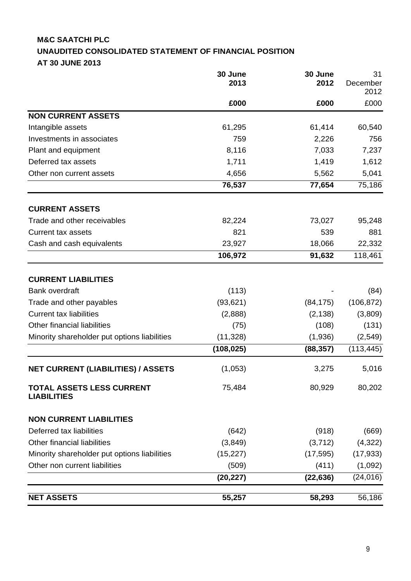# **M&C SAATCHI PLC UNAUDITED CONSOLIDATED STATEMENT OF FINANCIAL POSITION AT 30 JUNE 2013**

|                                                        | 30 June<br>2013 | 30 June<br>2012 | 31<br>December<br>2012 |
|--------------------------------------------------------|-----------------|-----------------|------------------------|
|                                                        | £000            | £000            | £000                   |
| <b>NON CURRENT ASSETS</b>                              |                 |                 |                        |
| Intangible assets                                      | 61,295          | 61,414          | 60,540                 |
| Investments in associates                              | 759             | 2,226           | 756                    |
| Plant and equipment                                    | 8,116           | 7,033           | 7,237                  |
| Deferred tax assets                                    | 1,711           | 1,419           | 1,612                  |
| Other non current assets                               | 4,656           | 5,562           | 5,041                  |
|                                                        | 76,537          | 77,654          | 75,186                 |
| <b>CURRENT ASSETS</b>                                  |                 |                 |                        |
| Trade and other receivables                            | 82,224          | 73,027          | 95,248                 |
| <b>Current tax assets</b>                              | 821             | 539             | 881                    |
| Cash and cash equivalents                              | 23,927          | 18,066          | 22,332                 |
|                                                        | 106,972         | 91,632          | 118,461                |
| <b>CURRENT LIABILITIES</b>                             |                 |                 |                        |
| <b>Bank overdraft</b>                                  | (113)           |                 | (84)                   |
| Trade and other payables                               | (93, 621)       | (84, 175)       | (106, 872)             |
| <b>Current tax liabilities</b>                         | (2,888)         | (2, 138)        | (3,809)                |
| Other financial liabilities                            | (75)            | (108)           | (131)                  |
| Minority shareholder put options liabilities           | (11, 328)       | (1,936)         | (2,549)                |
|                                                        | (108, 025)      | (88, 357)       | (113, 445)             |
| <b>NET CURRENT (LIABILITIES) / ASSETS</b>              | (1,053)         | 3,275           | 5,016                  |
| <b>TOTAL ASSETS LESS CURRENT</b><br><b>LIABILITIES</b> | 75,484          | 80,929          | 80,202                 |
| <b>NON CURRENT LIABILITIES</b>                         |                 |                 |                        |
| Deferred tax liabilities                               | (642)           | (918)           | (669)                  |
| Other financial liabilities                            | (3,849)         | (3,712)         | (4,322)                |
| Minority shareholder put options liabilities           | (15, 227)       | (17, 595)       | (17, 933)              |
| Other non current liabilities                          | (509)           | (411)           | (1,092)                |
|                                                        | (20, 227)       | (22, 636)       | (24, 016)              |
| <b>NET ASSETS</b>                                      | 55,257          | 58,293          | 56,186                 |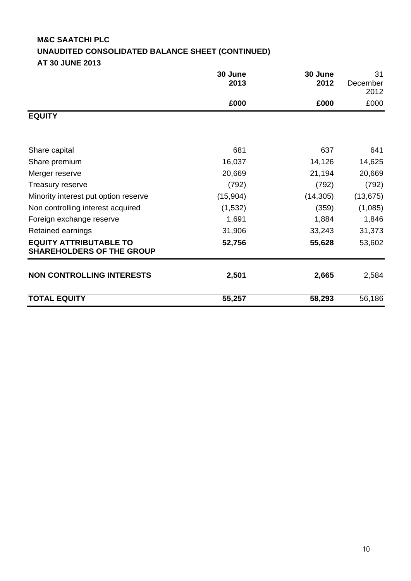# **M&C SAATCHI PLC UNAUDITED CONSOLIDATED BALANCE SHEET (CONTINUED) AT 30 JUNE 2013**

|                                                                   | 30 June<br>2013 | 30 June<br>2012 | 31<br>December<br>2012 |
|-------------------------------------------------------------------|-----------------|-----------------|------------------------|
|                                                                   | £000            | £000            | £000                   |
| <b>EQUITY</b>                                                     |                 |                 |                        |
| Share capital                                                     | 681             | 637             | 641                    |
| Share premium                                                     | 16,037          | 14,126          | 14,625                 |
| Merger reserve                                                    | 20,669          | 21,194          | 20,669                 |
| Treasury reserve                                                  | (792)           | (792)           | (792)                  |
| Minority interest put option reserve                              | (15,904)        | (14, 305)       | (13, 675)              |
| Non controlling interest acquired                                 | (1,532)         | (359)           | (1,085)                |
| Foreign exchange reserve                                          | 1,691           | 1,884           | 1,846                  |
| Retained earnings                                                 | 31,906          | 33,243          | 31,373                 |
| <b>EQUITY ATTRIBUTABLE TO</b><br><b>SHAREHOLDERS OF THE GROUP</b> | 52,756          | 55,628          | 53,602                 |
| <b>NON CONTROLLING INTERESTS</b>                                  | 2,501           | 2,665           | 2,584                  |
| <b>TOTAL EQUITY</b>                                               | 55,257          | 58,293          | 56,186                 |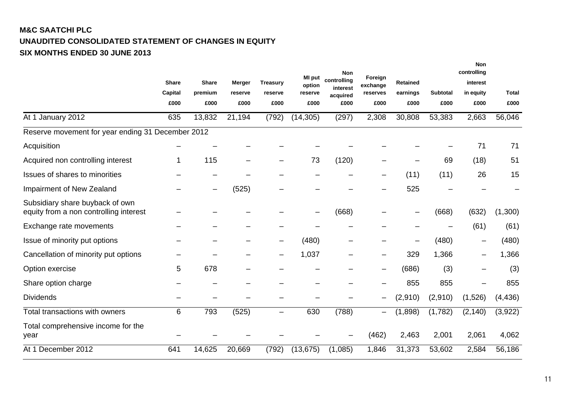# **M&C SAATCHI PLC UNAUDITED CONSOLIDATED STATEMENT OF CHANGES IN EQUITY SIX MONTHS ENDED 30 JUNE 2013**

|                                                                           | <b>Share</b> | <b>Share</b> | Merger  | <b>Treasury</b> | <b>MI</b> put<br>option | <b>Non</b><br>controlling<br>interest | Foreign<br>exchange | <b>Retained</b> |                 | <b>Non</b><br>controlling<br>interest |              |
|---------------------------------------------------------------------------|--------------|--------------|---------|-----------------|-------------------------|---------------------------------------|---------------------|-----------------|-----------------|---------------------------------------|--------------|
|                                                                           | Capital      | premium      | reserve | reserve         | reserve                 | acquired                              | reserves            | earnings        | <b>Subtotal</b> | in equity                             | <b>Total</b> |
|                                                                           | £000         | £000         | £000    | £000            | £000                    | £000                                  | £000                | £000            | £000            | £000                                  | £000         |
| At 1 January 2012                                                         | 635          | 13,832       | 21,194  | (792)           | (14, 305)               | (297)                                 | 2,308               | 30,808          | 53,383          | 2,663                                 | 56,046       |
| Reserve movement for year ending 31 December 2012                         |              |              |         |                 |                         |                                       |                     |                 |                 |                                       |              |
| Acquisition                                                               |              |              |         |                 |                         |                                       |                     |                 |                 | 71                                    | 71           |
| Acquired non controlling interest                                         | 1            | 115          |         |                 | 73                      | (120)                                 |                     |                 | 69              | (18)                                  | 51           |
| Issues of shares to minorities                                            |              |              |         |                 |                         |                                       |                     | (11)            | (11)            | 26                                    | 15           |
| Impairment of New Zealand                                                 |              |              | (525)   |                 |                         |                                       |                     | 525             |                 |                                       |              |
| Subsidiary share buyback of own<br>equity from a non controlling interest |              |              |         |                 |                         | (668)                                 |                     |                 | (668)           | (632)                                 | (1,300)      |
| Exchange rate movements                                                   |              |              |         |                 |                         |                                       |                     |                 |                 | (61)                                  | (61)         |
| Issue of minority put options                                             |              |              |         |                 | (480)                   |                                       |                     |                 | (480)           |                                       | (480)        |
| Cancellation of minority put options                                      |              |              |         |                 | 1,037                   |                                       | —                   | 329             | 1,366           |                                       | 1,366        |
| Option exercise                                                           | 5            | 678          |         |                 |                         |                                       |                     | (686)           | (3)             |                                       | (3)          |
| Share option charge                                                       |              |              |         |                 |                         |                                       |                     | 855             | 855             |                                       | 855          |
| <b>Dividends</b>                                                          |              |              |         |                 |                         |                                       |                     | (2,910)         | (2,910)         | (1,526)                               | (4, 436)     |
| Total transactions with owners                                            | 6            | 793          | (525)   |                 | 630                     | (788)                                 |                     | (1,898)         | (1,782)         | (2, 140)                              | (3,922)      |
| Total comprehensive income for the<br>year                                |              |              |         |                 |                         |                                       | (462)               | 2,463           | 2,001           | 2,061                                 | 4,062        |
| At 1 December 2012                                                        | 641          | 14,625       | 20,669  | (792)           | (13, 675)               | (1,085)                               | 1,846               | 31,373          | 53,602          | 2,584                                 | 56,186       |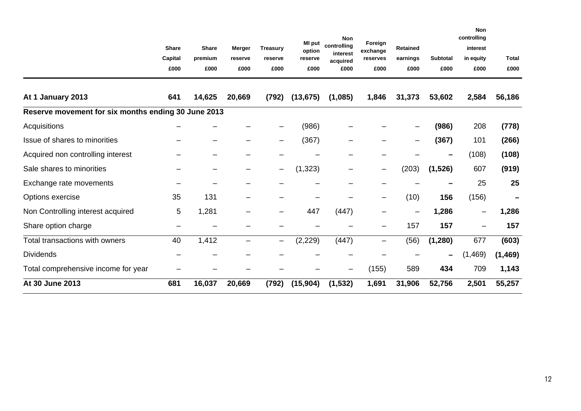|                                                     |              |              |               |                              | MI put    | <b>Non</b>              | Foreign  |                 |                 | <b>Non</b><br>controlling |              |
|-----------------------------------------------------|--------------|--------------|---------------|------------------------------|-----------|-------------------------|----------|-----------------|-----------------|---------------------------|--------------|
|                                                     | <b>Share</b> | <b>Share</b> | <b>Merger</b> | <b>Treasury</b>              | option    | controlling<br>interest | exchange | <b>Retained</b> |                 | interest                  |              |
|                                                     | Capital      | premium      | reserve       | reserve                      | reserve   | acquired                | reserves | earnings        | <b>Subtotal</b> | in equity                 | <b>Total</b> |
|                                                     | £000         | £000         | £000          | £000                         | £000      | £000                    | £000     | £000            | £000            | £000                      | £000         |
| At 1 January 2013                                   | 641          | 14,625       | 20,669        | (792)                        | (13, 675) | (1,085)                 | 1,846    | 31,373          | 53,602          | 2,584                     | 56,186       |
| Reserve movement for six months ending 30 June 2013 |              |              |               |                              |           |                         |          |                 |                 |                           |              |
| Acquisitions                                        |              |              |               |                              | (986)     |                         |          |                 | (986)           | 208                       | (778)        |
| Issue of shares to minorities                       |              |              |               |                              | (367)     |                         |          |                 | (367)           | 101                       | (266)        |
| Acquired non controlling interest                   |              |              |               |                              |           |                         |          |                 | —               | (108)                     | (108)        |
| Sale shares to minorities                           |              |              |               | $\overline{\phantom{m}}$     | (1, 323)  |                         | —        | (203)           | (1,526)         | 607                       | (919)        |
| Exchange rate movements                             |              |              |               |                              |           |                         |          |                 |                 | 25                        | 25           |
| Options exercise                                    | 35           | 131          |               |                              |           |                         |          | (10)            | 156             | (156)                     | -            |
| Non Controlling interest acquired                   | 5            | 1,281        |               |                              | 447       | (447)                   |          |                 | 1,286           |                           | 1,286        |
| Share option charge                                 |              |              |               |                              |           |                         |          | 157             | 157             |                           | 157          |
| Total transactions with owners                      | 40           | 1,412        |               | $\qquad \qquad \blacksquare$ | (2, 229)  | (447)                   | —        | (56)            | (1, 280)        | 677                       | (603)        |
| <b>Dividends</b>                                    |              |              |               |                              |           |                         |          |                 |                 | (1,469)                   | (1, 469)     |
| Total comprehensive income for year                 |              |              |               |                              |           |                         | (155)    | 589             | 434             | 709                       | 1,143        |
| At 30 June 2013                                     | 681          | 16,037       | 20,669        | (792)                        | (15, 904) | (1, 532)                | 1,691    | 31,906          | 52,756          | 2,501                     | 55,257       |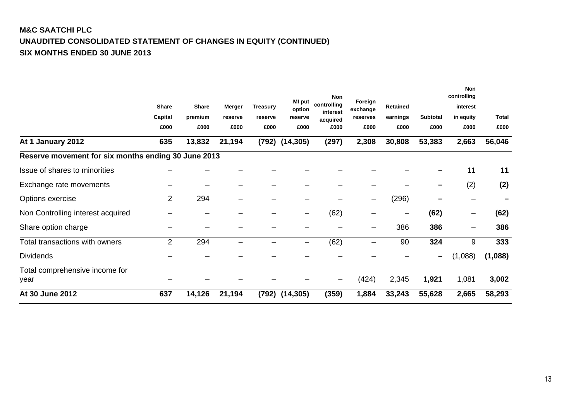# **M&C SAATCHI PLC UNAUDITED CONSOLIDATED STATEMENT OF CHANGES IN EQUITY (CONTINUED) SIX MONTHS ENDED 30 JUNE 2013**

|                                                     |                |              |         |                 | <b>MI</b> put          | <b>Non</b>              | Foreign  |          |                 | <b>Non</b><br>controlling |              |
|-----------------------------------------------------|----------------|--------------|---------|-----------------|------------------------|-------------------------|----------|----------|-----------------|---------------------------|--------------|
|                                                     | <b>Share</b>   | <b>Share</b> | Merger  | <b>Treasury</b> | option                 | controlling<br>interest | exchange | Retained |                 | interest                  |              |
|                                                     | Capital        | premium      | reserve | reserve         | reserve                | acquired                | reserves | earnings | <b>Subtotal</b> | in equity                 | <b>Total</b> |
|                                                     | £000           | £000         | £000    | £000            | £000                   | £000                    | £000     | £000     | £000            | £000                      | £000         |
| At 1 January 2012                                   | 635            | 13,832       | 21,194  |                 | $(792)$ $(14,305)$     | (297)                   | 2,308    | 30,808   | 53,383          | 2,663                     | 56,046       |
| Reserve movement for six months ending 30 June 2013 |                |              |         |                 |                        |                         |          |          |                 |                           |              |
| Issue of shares to minorities                       |                |              |         |                 |                        |                         |          |          |                 | 11                        | 11           |
| Exchange rate movements                             |                |              |         |                 |                        |                         |          |          |                 | (2)                       | (2)          |
| Options exercise                                    | $\overline{2}$ | 294          |         |                 |                        |                         |          | (296)    |                 |                           |              |
| Non Controlling interest acquired                   |                |              |         |                 |                        | (62)                    |          |          | (62)            |                           | (62)         |
| Share option charge                                 |                |              |         |                 |                        |                         |          | 386      | 386             |                           | 386          |
| Total transactions with owners                      | 2              | 294          |         |                 | $\qquad \qquad \qquad$ | (62)                    |          | 90       | 324             | 9                         | 333          |
| <b>Dividends</b>                                    |                |              |         |                 |                        |                         |          |          |                 | (1,088)                   | (1,088)      |
| Total comprehensive income for                      |                |              |         |                 |                        |                         |          |          |                 |                           |              |
| year                                                |                |              |         |                 |                        |                         | (424)    | 2,345    | 1,921           | 1,081                     | 3,002        |
| At 30 June 2012                                     | 637            | 14,126       | 21,194  | (792)           | (14, 305)              | (359)                   | 1,884    | 33,243   | 55,628          | 2,665                     | 58,293       |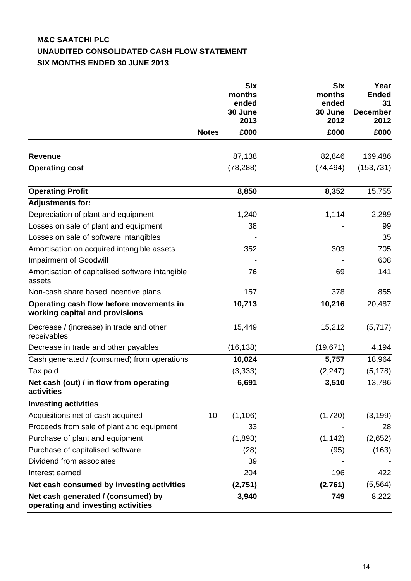# **M&C SAATCHI PLC UNAUDITED CONSOLIDATED CASH FLOW STATEMENT SIX MONTHS ENDED 30 JUNE 2013**

|                                                                           |              | <b>Six</b><br>months<br>ended<br>30 June<br>2013 | <b>Six</b><br>months<br>ended<br>30 June<br>2012 | Year<br><b>Ended</b><br>31<br><b>December</b><br>2012 |
|---------------------------------------------------------------------------|--------------|--------------------------------------------------|--------------------------------------------------|-------------------------------------------------------|
|                                                                           | <b>Notes</b> | £000                                             | £000                                             | £000                                                  |
| <b>Revenue</b>                                                            |              | 87,138                                           | 82,846                                           | 169,486                                               |
| <b>Operating cost</b>                                                     |              | (78, 288)                                        | (74, 494)                                        | (153, 731)                                            |
|                                                                           |              |                                                  |                                                  |                                                       |
| <b>Operating Profit</b>                                                   |              | 8,850                                            | 8,352                                            | 15,755                                                |
| <b>Adjustments for:</b>                                                   |              |                                                  |                                                  |                                                       |
| Depreciation of plant and equipment                                       |              | 1,240                                            | 1,114                                            | 2,289                                                 |
| Losses on sale of plant and equipment                                     |              | 38                                               |                                                  | 99                                                    |
| Losses on sale of software intangibles                                    |              |                                                  |                                                  | 35                                                    |
| Amortisation on acquired intangible assets                                |              | 352                                              | 303                                              | 705                                                   |
| <b>Impairment of Goodwill</b>                                             |              |                                                  |                                                  | 608                                                   |
| Amortisation of capitalised software intangible<br>assets                 |              | 76                                               | 69                                               | 141                                                   |
| Non-cash share based incentive plans                                      |              | 157                                              | 378                                              | 855                                                   |
| Operating cash flow before movements in<br>working capital and provisions |              | 10,713                                           | 10,216                                           | 20,487                                                |
| Decrease / (increase) in trade and other<br>receivables                   |              | 15,449                                           | 15,212                                           | (5,717)                                               |
| Decrease in trade and other payables                                      |              | (16, 138)                                        | (19, 671)                                        | 4,194                                                 |
| Cash generated / (consumed) from operations                               |              | 10,024                                           | 5,757                                            | 18,964                                                |
| Tax paid                                                                  |              | (3, 333)                                         | (2, 247)                                         | (5, 178)                                              |
| Net cash (out) / in flow from operating<br>activities                     |              | 6,691                                            | 3,510                                            | 13,786                                                |
| <b>Investing activities</b>                                               |              |                                                  |                                                  |                                                       |
| Acquisitions net of cash acquired                                         | 10           | (1, 106)                                         | (1,720)                                          | (3, 199)                                              |
| Proceeds from sale of plant and equipment                                 |              | 33                                               |                                                  | 28                                                    |
| Purchase of plant and equipment                                           |              | (1,893)                                          | (1, 142)                                         | (2,652)                                               |
| Purchase of capitalised software                                          |              | (28)                                             | (95)                                             | (163)                                                 |
| Dividend from associates                                                  |              | 39                                               |                                                  |                                                       |
| Interest earned                                                           |              | 204                                              | 196                                              | 422                                                   |
| Net cash consumed by investing activities                                 |              | (2,751)                                          | (2,761)                                          | (5, 564)                                              |
| Net cash generated / (consumed) by<br>operating and investing activities  |              | 3,940                                            | 749                                              | 8,222                                                 |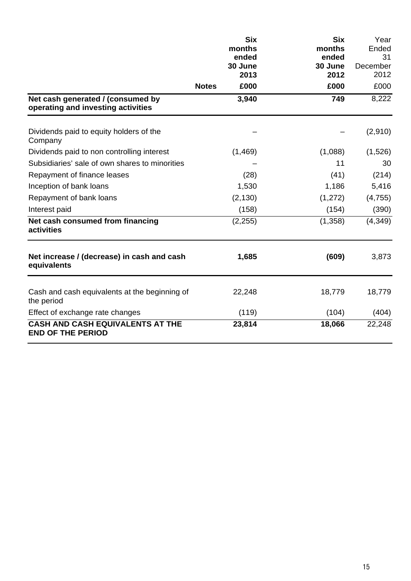|                                                                         | months           | <b>Six</b><br><b>Six</b><br>months | Year<br>Ended  |
|-------------------------------------------------------------------------|------------------|------------------------------------|----------------|
|                                                                         | ended<br>30 June | ended<br>30 June                   | 31<br>December |
|                                                                         |                  | 2013<br>2012                       | 2012           |
|                                                                         | <b>Notes</b>     | £000<br>£000                       | £000           |
| Net cash generated / (consumed by<br>operating and investing activities | 3,940            | 749                                | 8,222          |
| Dividends paid to equity holders of the<br>Company                      |                  |                                    | (2,910)        |
| Dividends paid to non controlling interest                              | (1,469)          | (1,088)                            | (1,526)        |
| Subsidiaries' sale of own shares to minorities                          |                  | 11                                 | 30             |
| Repayment of finance leases                                             |                  | (28)<br>(41)                       | (214)          |
| Inception of bank loans                                                 | 1,530            | 1,186                              | 5,416          |
| Repayment of bank loans                                                 | (2, 130)         | (1,272)                            | (4, 755)       |
| Interest paid                                                           |                  | (158)<br>(154)                     | (390)          |
| Net cash consumed from financing<br>activities                          | (2,255)          | (1,358)                            | (4, 349)       |
| Net increase / (decrease) in cash and cash<br>equivalents               | 1,685            | (609)                              | 3,873          |
| Cash and cash equivalents at the beginning of<br>the period             | 22,248           | 18,779                             | 18,779         |
| Effect of exchange rate changes                                         | (119)            | (104)                              | (404)          |
| <b>CASH AND CASH EQUIVALENTS AT THE</b><br><b>END OF THE PERIOD</b>     | 23,814           | 18,066                             | 22,248         |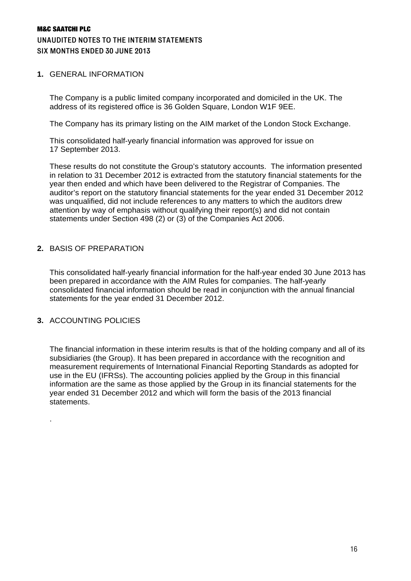### M&C SAATCHI PLC UNAUDITED NOTES TO THE INTERIM STATEMENTS SIX MONTHS ENDED 30 JUNE 2013

#### **1.** GENERAL INFORMATION

The Company is a public limited company incorporated and domiciled in the UK. The address of its registered office is 36 Golden Square, London W1F 9EE.

The Company has its primary listing on the AIM market of the London Stock Exchange.

This consolidated half-yearly financial information was approved for issue on 17 September 2013.

These results do not constitute the Group's statutory accounts. The information presented in relation to 31 December 2012 is extracted from the statutory financial statements for the year then ended and which have been delivered to the Registrar of Companies. The auditor's report on the statutory financial statements for the year ended 31 December 2012 was unqualified, did not include references to any matters to which the auditors drew attention by way of emphasis without qualifying their report(s) and did not contain statements under Section 498 (2) or (3) of the Companies Act 2006.

#### **2.** BASIS OF PREPARATION

This consolidated half-yearly financial information for the half-year ended 30 June 2013 has been prepared in accordance with the AIM Rules for companies. The half-yearly consolidated financial information should be read in conjunction with the annual financial statements for the year ended 31 December 2012.

# **3.** ACCOUNTING POLICIES

.

The financial information in these interim results is that of the holding company and all of its subsidiaries (the Group). It has been prepared in accordance with the recognition and measurement requirements of International Financial Reporting Standards as adopted for use in the EU (IFRSs). The accounting policies applied by the Group in this financial information are the same as those applied by the Group in its financial statements for the year ended 31 December 2012 and which will form the basis of the 2013 financial statements.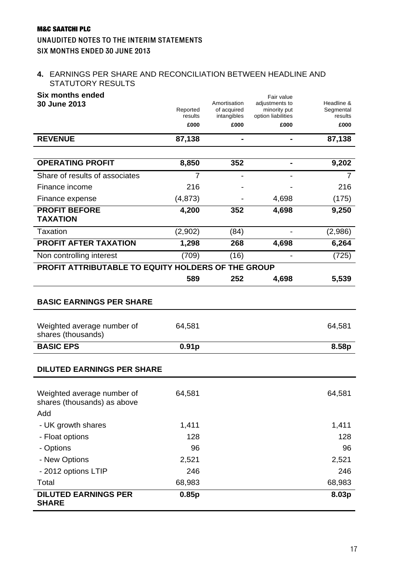# M&C SAATCHI PLC UNAUDITED NOTES TO THE INTERIM STATEMENTS SIX MONTHS ENDED 30 JUNE 2013

### **4.** EARNINGS PER SHARE AND RECONCILIATION BETWEEN HEADLINE AND STATUTORY RESULTS

| <b>Six months ended</b><br>30 June 2013                          |                     | Amortisation               | Fair value<br>adjustments to       | Headline &           |
|------------------------------------------------------------------|---------------------|----------------------------|------------------------------------|----------------------|
|                                                                  | Reported<br>results | of acquired<br>intangibles | minority put<br>option liabilities | Segmental<br>results |
|                                                                  | £000                | £000                       | £000                               | £000                 |
| <b>REVENUE</b>                                                   | 87,138              | $\blacksquare$             |                                    | 87,138               |
|                                                                  |                     |                            |                                    |                      |
| <b>OPERATING PROFIT</b>                                          | 8,850               | 352                        |                                    | 9,202                |
| Share of results of associates                                   | 7                   |                            |                                    | 7                    |
| Finance income                                                   | 216                 |                            |                                    | 216                  |
| Finance expense                                                  | (4, 873)            |                            | 4,698                              | (175)                |
| <b>PROFIT BEFORE</b><br><b>TAXATION</b>                          | 4,200               | 352                        | 4,698                              | 9,250                |
| <b>Taxation</b>                                                  | (2,902)             | (84)                       |                                    | (2,986)              |
| <b>PROFIT AFTER TAXATION</b>                                     | 1,298               | 268                        | 4,698                              | 6,264                |
| Non controlling interest                                         | (709)               | (16)                       | $\overline{\phantom{0}}$           | (725)                |
| PROFIT ATTRIBUTABLE TO EQUITY HOLDERS OF THE GROUP               |                     |                            |                                    |                      |
|                                                                  | 589                 | 252                        | 4,698                              | 5,539                |
| <b>BASIC EARNINGS PER SHARE</b>                                  |                     |                            |                                    |                      |
|                                                                  |                     |                            |                                    |                      |
| Weighted average number of<br>shares (thousands)                 | 64,581              |                            |                                    | 64,581               |
| <b>BASIC EPS</b>                                                 | 0.91 <sub>p</sub>   |                            |                                    | 8.58p                |
| <b>DILUTED EARNINGS PER SHARE</b>                                |                     |                            |                                    |                      |
| Weighted average number of<br>shares (thousands) as above<br>Add | 64,581              |                            |                                    | 64,581               |
| - UK growth shares                                               | 1,411               |                            |                                    | 1,411                |
| - Float options                                                  | 128                 |                            |                                    | 128                  |
| - Options                                                        | 96                  |                            |                                    | 96                   |
| - New Options                                                    | 2,521               |                            |                                    | 2,521                |
| - 2012 options LTIP                                              | 246                 |                            |                                    | 246                  |
| Total                                                            | 68,983              |                            |                                    | 68,983               |
| <b>DILUTED EARNINGS PER</b><br><b>SHARE</b>                      | 0.85p               |                            |                                    | 8.03p                |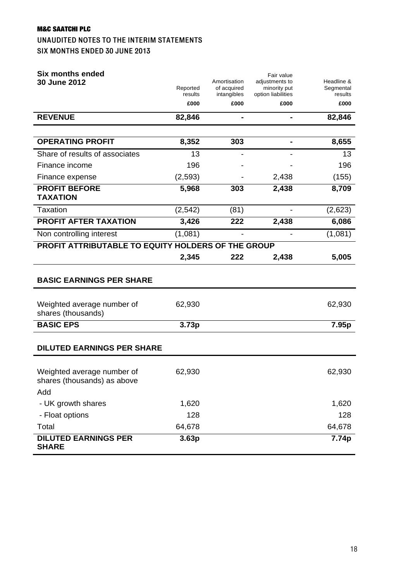### UNAUDITED NOTES TO THE INTERIM STATEMENTS SIX MONTHS ENDED 30 JUNE 2013

| <b>Six months ended</b><br>30 June 2012                          | Reported<br>results | Amortisation<br>of acquired<br>intangibles | Fair value<br>adjustments to<br>minority put<br>option liabilities | Headline &<br>Segmental<br>results |
|------------------------------------------------------------------|---------------------|--------------------------------------------|--------------------------------------------------------------------|------------------------------------|
|                                                                  | £000                | £000                                       | £000                                                               | £000                               |
| <b>REVENUE</b>                                                   | 82,846              | $\blacksquare$                             | $\blacksquare$                                                     | 82,846                             |
|                                                                  |                     |                                            |                                                                    |                                    |
| <b>OPERATING PROFIT</b>                                          | 8,352               | 303                                        |                                                                    | 8,655                              |
| Share of results of associates                                   | 13                  |                                            |                                                                    | 13                                 |
| Finance income                                                   | 196                 |                                            |                                                                    | 196                                |
| Finance expense                                                  | (2,593)             |                                            | 2,438                                                              | (155)                              |
| <b>PROFIT BEFORE</b><br><b>TAXATION</b>                          | 5,968               | 303                                        | 2,438                                                              | 8,709                              |
| <b>Taxation</b>                                                  | (2, 542)            | (81)                                       |                                                                    | (2,623)                            |
| <b>PROFIT AFTER TAXATION</b>                                     | 3,426               | 222                                        | 2,438                                                              | 6,086                              |
| Non controlling interest                                         | (1,081)             |                                            |                                                                    | (1,081)                            |
| PROFIT ATTRIBUTABLE TO EQUITY HOLDERS OF THE GROUP               |                     |                                            |                                                                    |                                    |
|                                                                  | 2,345               | 222                                        | 2,438                                                              | 5,005                              |
| <b>BASIC EARNINGS PER SHARE</b>                                  |                     |                                            |                                                                    |                                    |
| Weighted average number of<br>shares (thousands)                 | 62,930              |                                            |                                                                    | 62,930                             |
| <b>BASIC EPS</b>                                                 | 3.73p               |                                            |                                                                    | 7.95p                              |
| <b>DILUTED EARNINGS PER SHARE</b>                                |                     |                                            |                                                                    |                                    |
| Weighted average number of<br>shares (thousands) as above<br>Add | 62,930              |                                            |                                                                    | 62,930                             |
| - UK growth shares                                               | 1,620               |                                            |                                                                    | 1,620                              |
| - Float options                                                  | 128                 |                                            |                                                                    | 128                                |
| Total                                                            | 64,678              |                                            |                                                                    | 64,678                             |
| <b>DILUTED EARNINGS PER</b><br><b>SHARE</b>                      | 3.63p               |                                            |                                                                    | 7.74p                              |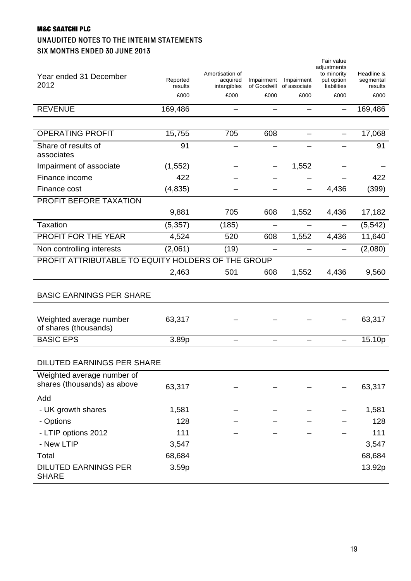# M&C SAATCHI PLC UNAUDITED NOTES TO THE INTERIM STATEMENTS SIX MONTHS ENDED 30 JUNE 2013

| Year ended 31 December<br>2012                            | Reported<br>results<br>£000 | Amortisation of<br>acquired<br>intangibles<br>£000 | Impairment<br>of Goodwill<br>£000 | Impairment<br>of associate<br>£000 | Fair value<br>adjustments<br>to minority<br>put option<br>liabilities<br>£000 | Headline &<br>segmental<br>results<br>£000 |
|-----------------------------------------------------------|-----------------------------|----------------------------------------------------|-----------------------------------|------------------------------------|-------------------------------------------------------------------------------|--------------------------------------------|
| <b>REVENUE</b>                                            | 169,486                     | —                                                  |                                   | —                                  |                                                                               | 169,486                                    |
|                                                           |                             |                                                    |                                   |                                    |                                                                               |                                            |
| <b>OPERATING PROFIT</b>                                   | 15,755                      | 705                                                | 608                               |                                    |                                                                               | 17,068                                     |
| Share of results of<br>associates                         | 91                          |                                                    |                                   |                                    |                                                                               | 91                                         |
| Impairment of associate                                   | (1, 552)                    |                                                    |                                   | 1,552                              |                                                                               |                                            |
| Finance income                                            | 422                         |                                                    |                                   |                                    |                                                                               | 422                                        |
| Finance cost                                              | (4, 835)                    |                                                    |                                   |                                    | 4,436                                                                         | (399)                                      |
| PROFIT BEFORE TAXATION                                    |                             |                                                    |                                   |                                    |                                                                               |                                            |
|                                                           | 9,881                       | 705                                                | 608                               | 1,552                              | 4,436                                                                         | 17,182                                     |
| <b>Taxation</b>                                           | (5, 357)                    | (185)                                              |                                   |                                    |                                                                               | (5, 542)                                   |
| PROFIT FOR THE YEAR                                       | 4,524                       | 520                                                | 608                               | 1,552                              | 4,436                                                                         | 11,640                                     |
| Non controlling interests                                 | (2,061)                     | (19)                                               |                                   | —                                  |                                                                               | (2,080)                                    |
| PROFIT ATTRIBUTABLE TO EQUITY HOLDERS OF THE GROUP        |                             |                                                    |                                   |                                    |                                                                               |                                            |
|                                                           | 2,463                       | 501                                                | 608                               | 1,552                              | 4,436                                                                         | 9,560                                      |
| <b>BASIC EARNINGS PER SHARE</b>                           |                             |                                                    |                                   |                                    |                                                                               |                                            |
| Weighted average number<br>of shares (thousands)          | 63,317                      |                                                    |                                   |                                    |                                                                               | 63,317                                     |
| <b>BASIC EPS</b>                                          | 3.89p                       | —                                                  |                                   |                                    | $\overline{\phantom{0}}$                                                      | 15.10p                                     |
| <b>DILUTED EARNINGS PER SHARE</b>                         |                             |                                                    |                                   |                                    |                                                                               |                                            |
| Weighted average number of<br>shares (thousands) as above | 63,317                      |                                                    |                                   |                                    |                                                                               | 63,317                                     |
| Add                                                       |                             |                                                    |                                   |                                    |                                                                               |                                            |
| - UK growth shares                                        | 1,581                       |                                                    |                                   |                                    |                                                                               | 1,581                                      |
| - Options                                                 | 128                         |                                                    |                                   |                                    |                                                                               | 128                                        |
| - LTIP options 2012                                       | 111                         |                                                    |                                   |                                    |                                                                               | 111                                        |
| - New LTIP                                                | 3,547                       |                                                    |                                   |                                    |                                                                               | 3,547                                      |
| Total                                                     | 68,684                      |                                                    |                                   |                                    |                                                                               | 68,684                                     |
| <b>DILUTED EARNINGS PER</b><br><b>SHARE</b>               | 3.59p                       |                                                    |                                   |                                    |                                                                               | 13.92p                                     |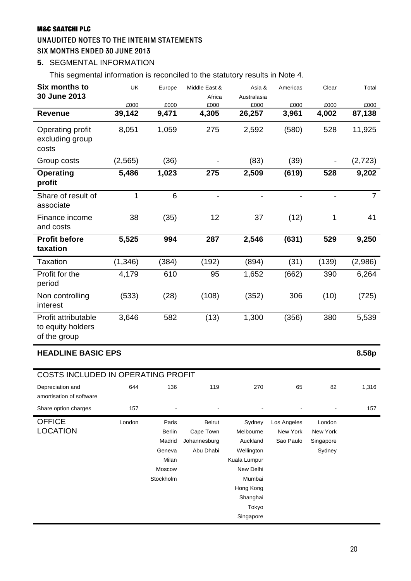### UNAUDITED NOTES TO THE INTERIM STATEMENTS SIX MONTHS ENDED 30 JUNE 2013

# **5.** SEGMENTAL INFORMATION

This segmental information is reconciled to the statutory results in Note 4.

| <b>Six months to</b><br>30 June 2013                     | UK             | Europe                                                                     | Middle East &<br>Africa                                 | Asia &<br>Australasia                                                                                                               | Americas                             | Clear                                     | Total          |
|----------------------------------------------------------|----------------|----------------------------------------------------------------------------|---------------------------------------------------------|-------------------------------------------------------------------------------------------------------------------------------------|--------------------------------------|-------------------------------------------|----------------|
| <b>Revenue</b>                                           | £000<br>39,142 | £000<br>9,471                                                              | £000<br>4,305                                           | £000<br>26,257                                                                                                                      | £000<br>3,961                        | £000<br>4,002                             | £000<br>87,138 |
| Operating profit<br>excluding group<br>costs             | 8,051          | 1,059                                                                      | 275                                                     | 2,592                                                                                                                               | (580)                                | 528                                       | 11,925         |
| Group costs                                              | (2, 565)       | (36)                                                                       |                                                         | (83)                                                                                                                                | (39)                                 |                                           | (2,723)        |
| <b>Operating</b><br>profit                               | 5,486          | 1,023                                                                      | 275                                                     | 2,509                                                                                                                               | (619)                                | 528                                       | 9,202          |
| Share of result of<br>associate                          | 1              | 6                                                                          | $\overline{\phantom{a}}$                                | $\overline{\phantom{a}}$                                                                                                            | $\qquad \qquad \blacksquare$         | $\overline{\phantom{a}}$                  | $\overline{7}$ |
| Finance income<br>and costs                              | 38             | (35)                                                                       | 12                                                      | 37                                                                                                                                  | (12)                                 | 1                                         | 41             |
| <b>Profit before</b><br>taxation                         | 5,525          | 994                                                                        | 287                                                     | 2,546                                                                                                                               | (631)                                | 529                                       | 9,250          |
| <b>Taxation</b>                                          | (1, 346)       | (384)                                                                      | (192)                                                   | (894)                                                                                                                               | (31)                                 | (139)                                     | (2,986)        |
| Profit for the<br>period                                 | 4,179          | 610                                                                        | 95                                                      | 1,652                                                                                                                               | (662)                                | 390                                       | 6,264          |
| Non controlling<br>interest                              | (533)          | (28)                                                                       | (108)                                                   | (352)                                                                                                                               | 306                                  | (10)                                      | (725)          |
| Profit attributable<br>to equity holders<br>of the group | 3,646          | 582                                                                        | (13)                                                    | 1,300                                                                                                                               | (356)                                | 380                                       | 5,539          |
| <b>HEADLINE BASIC EPS</b>                                |                |                                                                            |                                                         |                                                                                                                                     |                                      |                                           | 8.58p          |
| <b>COSTS INCLUDED IN OPERATING PROFIT</b>                |                |                                                                            |                                                         |                                                                                                                                     |                                      |                                           |                |
| Depreciation and<br>amortisation of software             | 644            | 136                                                                        | 119                                                     | 270                                                                                                                                 | 65                                   | 82                                        | 1,316          |
| Share option charges                                     | 157            |                                                                            |                                                         |                                                                                                                                     |                                      |                                           | 157            |
| <b>OFFICE</b><br><b>LOCATION</b>                         | London         | Paris<br><b>Berlin</b><br>Madrid<br>Geneva<br>Milan<br>Moscow<br>Stockholm | <b>Beirut</b><br>Cape Town<br>Johannesburg<br>Abu Dhabi | Sydney<br>Melbourne<br>Auckland<br>Wellington<br>Kuala Lumpur<br>New Delhi<br>Mumbai<br>Hong Kong<br>Shanghai<br>Tokyo<br>Singapore | Los Angeles<br>New York<br>Sao Paulo | London<br>New York<br>Singapore<br>Sydney |                |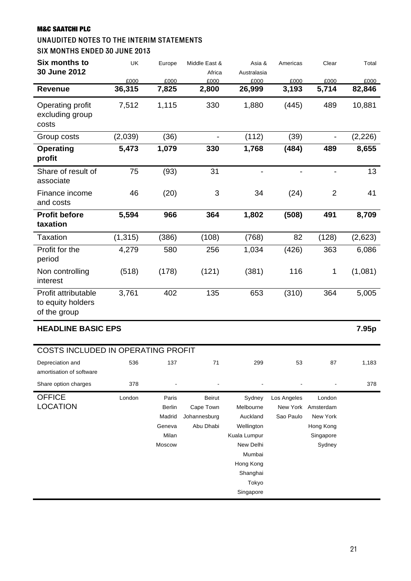# UNAUDITED NOTES TO THE INTERIM STATEMENTS

SIX MONTHS ENDED 30 JUNE 2013

| £000<br>36,315<br>7,512<br>(2,039)<br>5,473<br>75 | £000<br>7,825<br>1,115<br>(36)<br>1,079                       | Africa<br>£000<br>2,800<br>330<br>$\overline{\phantom{a}}$ | Australasia<br>£000<br>26,999<br>1,880                                                                                 | £000<br>3,193<br>(445)               | £000<br>5,714<br>489                                                | £000<br>82,846<br>10,881 |
|---------------------------------------------------|---------------------------------------------------------------|------------------------------------------------------------|------------------------------------------------------------------------------------------------------------------------|--------------------------------------|---------------------------------------------------------------------|--------------------------|
|                                                   |                                                               |                                                            |                                                                                                                        |                                      |                                                                     |                          |
|                                                   |                                                               |                                                            |                                                                                                                        |                                      |                                                                     |                          |
|                                                   |                                                               |                                                            |                                                                                                                        |                                      |                                                                     |                          |
|                                                   |                                                               |                                                            | (112)                                                                                                                  | (39)                                 | $\qquad \qquad \blacksquare$                                        | (2, 226)                 |
|                                                   |                                                               | 330                                                        | 1,768                                                                                                                  | (484)                                | 489                                                                 | 8,655                    |
|                                                   | (93)                                                          | 31                                                         | $\overline{\phantom{a}}$                                                                                               |                                      | $\overline{\phantom{a}}$                                            | 13                       |
| 46                                                | (20)                                                          | $\mathsf 3$                                                | 34                                                                                                                     | (24)                                 | $\overline{2}$                                                      | 41                       |
|                                                   | 966                                                           | 364                                                        | 1,802                                                                                                                  | (508)                                | 491                                                                 | 8,709                    |
|                                                   | (386)                                                         | (108)                                                      | (768)                                                                                                                  | 82                                   | (128)                                                               | (2,623)                  |
| 4,279                                             | 580                                                           | 256                                                        | 1,034                                                                                                                  | (426)                                | 363                                                                 | 6,086                    |
| (518)                                             | (178)                                                         | (121)                                                      | (381)                                                                                                                  | 116                                  | 1                                                                   | (1,081)                  |
|                                                   | 402                                                           | 135                                                        | 653                                                                                                                    | (310)                                | 364                                                                 | 5,005                    |
|                                                   |                                                               |                                                            |                                                                                                                        |                                      |                                                                     | 7.95p                    |
|                                                   |                                                               |                                                            |                                                                                                                        |                                      |                                                                     |                          |
| 536                                               | 137                                                           | 71                                                         | 299                                                                                                                    | 53                                   | 87                                                                  | 1,183                    |
| 378                                               |                                                               |                                                            |                                                                                                                        |                                      |                                                                     | 378                      |
| London                                            | Paris<br><b>Berlin</b><br>Madrid<br>Geneva<br>Milan<br>Moscow | <b>Beirut</b><br>Cape Town<br>Johannesburg<br>Abu Dhabi    | Sydney<br>Melbourne<br>Auckland<br>Wellington<br>Kuala Lumpur<br>New Delhi<br>Mumbai<br>Hong Kong<br>Shanghai<br>Tokyo | Los Angeles<br>New York<br>Sao Paulo | London<br>Amsterdam<br>New York<br>Hong Kong<br>Singapore<br>Sydney |                          |
|                                                   | 5,594<br>(1, 315)<br>3,761<br><b>HEADLINE BASIC EPS</b>       |                                                            | COSTS INCLUDED IN OPERATING PROFIT                                                                                     |                                      |                                                                     | Singapore                |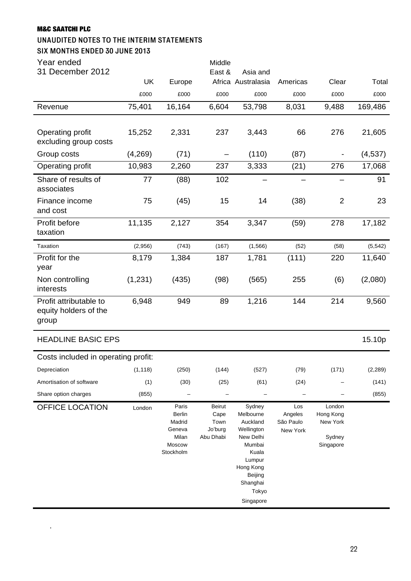ń

.

#### UNAUDITED NOTES TO THE INTERIM STATEMENTS

#### SIX MONTHS ENDED 30 JUNE 2013

| Year ended<br>31 December 2012                           |           |        | Middle<br>East & | Asia and           |          |                |          |
|----------------------------------------------------------|-----------|--------|------------------|--------------------|----------|----------------|----------|
|                                                          | <b>UK</b> | Europe |                  | Africa Australasia | Americas | Clear          | Total    |
|                                                          | £000      | £000   | £000             | £000               | £000     | £000           | £000     |
| Revenue                                                  | 75,401    | 16,164 | 6,604            | 53,798             | 8,031    | 9,488          | 169,486  |
|                                                          |           |        |                  |                    |          |                |          |
| Operating profit<br>excluding group costs                | 15,252    | 2,331  | 237              | 3,443              | 66       | 276            | 21,605   |
| Group costs                                              | (4,269)   | (71)   |                  | (110)              | (87)     |                | (4,537)  |
| Operating profit                                         | 10,983    | 2,260  | 237              | 3,333              | (21)     | 276            | 17,068   |
| Share of results of<br>associates                        | 77        | (88)   | 102              |                    |          |                | 91       |
| Finance income<br>and cost                               | 75        | (45)   | 15               | 14                 | (38)     | $\overline{2}$ | 23       |
| Profit before<br>taxation                                | 11,135    | 2,127  | 354              | 3,347              | (59)     | 278            | 17,182   |
| Taxation                                                 | (2,956)   | (743)  | (167)            | (1, 566)           | (52)     | (58)           | (5, 542) |
| Profit for the<br>year                                   | 8,179     | 1,384  | 187              | 1,781              | (111)    | 220            | 11,640   |
| Non controlling<br>interests                             | (1,231)   | (435)  | (98)             | (565)              | 255      | (6)            | (2,080)  |
| Profit attributable to<br>equity holders of the<br>group | 6,948     | 949    | 89               | 1,216              | 144      | 214            | 9,560    |
| <b>HEADLINE BASIC EPS</b>                                |           |        |                  |                    |          |                | 15.10p   |
| Costs included in operating profit:                      |           |        |                  |                    |          |                |          |
| Depreciation                                             | (1, 118)  | (250)  | (144)            | (527)              | (79)     | (171)          | (2, 289) |
| Amortisation of software                                 | (1)       | (30)   | (25)             | (61)               | (24)     |                | (141)    |
| Share option charges                                     | (855)     |        |                  |                    |          |                | (855)    |

OFFICE LOCATION London Paris Berlin Madrid Geneva Milan Moscow Stockholm Beirut Cape Town Jo'burg Abu Dhabi Sydney Melbourne Auckland Wellington New Delhi Mumbai Kuala Lumpur Hong Kong Beijing Shanghai Tokyo Singapore Los Angeles São Paulo New York London Hong Kong New York Sydney Singapore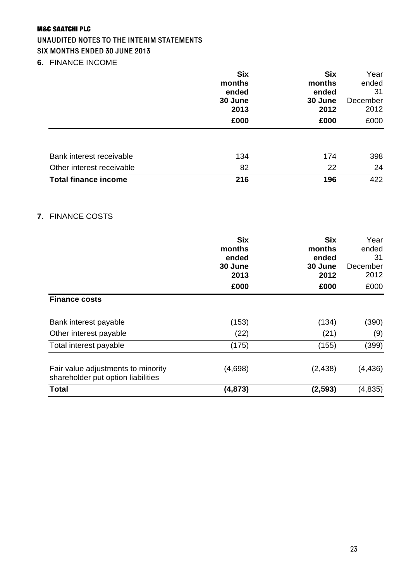# UNAUDITED NOTES TO THE INTERIM STATEMENTS

#### SIX MONTHS ENDED 30 JUNE 2013

**6.** FINANCE INCOME

|                             | <b>Six</b> | <b>Six</b> | Year     |
|-----------------------------|------------|------------|----------|
|                             | months     | months     | ended    |
|                             | ended      | ended      | 31       |
|                             | 30 June    | 30 June    | December |
|                             | 2013       | 2012       | 2012     |
|                             | £000       | £000       | £000     |
|                             |            |            |          |
| Bank interest receivable    | 134        | 174        | 398      |
| Other interest receivable   | 82         | 22         | 24       |
| <b>Total finance income</b> | 216        | 196        | 422      |

# **7.** FINANCE COSTS

|                                                                          | <b>Six</b><br>months<br>ended<br>30 June<br>2013<br>£000 | <b>Six</b><br>months<br>ended<br>30 June<br>2012<br>£000 | Year<br>ended<br>31<br>December<br>2012<br>£000 |
|--------------------------------------------------------------------------|----------------------------------------------------------|----------------------------------------------------------|-------------------------------------------------|
| <b>Finance costs</b>                                                     |                                                          |                                                          |                                                 |
| Bank interest payable                                                    | (153)                                                    | (134)                                                    | (390)                                           |
| Other interest payable                                                   | (22)                                                     | (21)                                                     | (9)                                             |
| Total interest payable                                                   | (175)                                                    | (155)                                                    | (399)                                           |
| Fair value adjustments to minority<br>shareholder put option liabilities | (4,698)                                                  | (2, 438)                                                 | (4, 436)                                        |
| <b>Total</b>                                                             | (4, 873)                                                 | (2, 593)                                                 | (4, 835)                                        |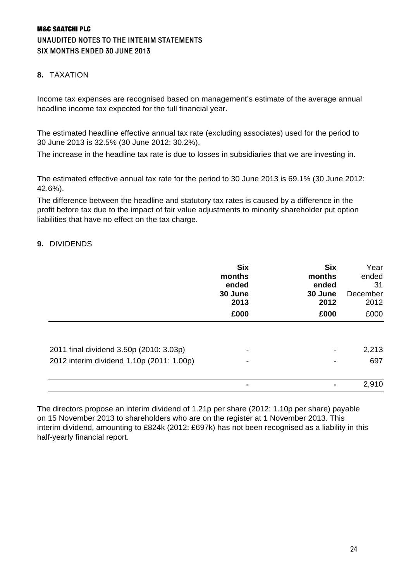# M&C SAATCHI PLC UNAUDITED NOTES TO THE INTERIM STATEMENTS SIX MONTHS ENDED 30 JUNE 2013

### **8.** TAXATION

Income tax expenses are recognised based on management's estimate of the average annual headline income tax expected for the full financial year.

The estimated headline effective annual tax rate (excluding associates) used for the period to 30 June 2013 is 32.5% (30 June 2012: 30.2%).

The increase in the headline tax rate is due to losses in subsidiaries that we are investing in.

The estimated effective annual tax rate for the period to 30 June 2013 is 69.1% (30 June 2012: 42.6%).

The difference between the headline and statutory tax rates is caused by a difference in the profit before tax due to the impact of fair value adjustments to minority shareholder put option liabilities that have no effect on the tax charge.

#### **9.** DIVIDENDS

|                                           | <b>Six</b><br>months<br>ended<br>30 June<br>2013<br>£000 | <b>Six</b><br>months<br>ended<br>30 June<br>2012<br>£000 | Year<br>ended<br>31<br>December<br>2012<br>£000 |
|-------------------------------------------|----------------------------------------------------------|----------------------------------------------------------|-------------------------------------------------|
| 2011 final dividend 3.50p (2010: 3.03p)   |                                                          |                                                          | 2,213                                           |
| 2012 interim dividend 1.10p (2011: 1.00p) |                                                          |                                                          | 697<br>2,910                                    |

The directors propose an interim dividend of 1.21p per share (2012: 1.10p per share) payable on 15 November 2013 to shareholders who are on the register at 1 November 2013. This interim dividend, amounting to £824k (2012: £697k) has not been recognised as a liability in this half-yearly financial report.